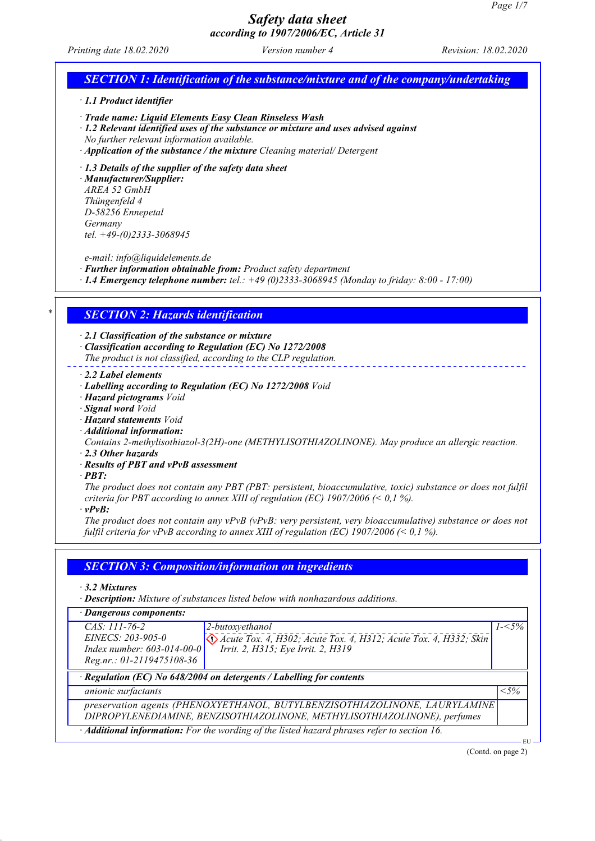*Printing date 18.02.2020 Version number 4 Revision: 18.02.2020*

# *SECTION 1: Identification of the substance/mixture and of the company/undertaking · 1.1 Product identifier · Trade name: Liquid Elements Easy Clean Rinseless Wash · 1.2 Relevant identified uses of the substance or mixture and uses advised against No further relevant information available. · Application of the substance / the mixture Cleaning material/ Detergent · 1.3 Details of the supplier of the safety data sheet · Manufacturer/Supplier: AREA 52 GmbH Thüngenfeld 4 D-58256 Ennepetal Germany tel. +49-(0)2333-3068945 e-mail: info@liquidelements.de · Further information obtainable from: Product safety department · 1.4 Emergency telephone number: tel.: +49 (0)2333-3068945 (Monday to friday: 8:00 - 17:00) \* SECTION 2: Hazards identification · 2.1 Classification of the substance or mixture · Classification according to Regulation (EC) No 1272/2008 The product is not classified, according to the CLP regulation. · 2.2 Label elements · Labelling according to Regulation (EC) No 1272/2008 Void · Hazard pictograms Void · Signal word Void · Hazard statements Void · Additional information: Contains 2-methylisothiazol-3(2H)-one (METHYLISOTHIAZOLINONE). May produce an allergic reaction. · 2.3 Other hazards · Results of PBT and vPvB assessment · PBT: The product does not contain any PBT (PBT: persistent, bioaccumulative, toxic) substance or does not fulfil criteria for PBT according to annex XIII of regulation (EC) 1907/2006 (< 0,1 %). · vPvB: The product does not contain any vPvB (vPvB: very persistent, very bioaccumulative) substance or does not fulfil criteria for vPvB according to annex XIII of regulation (EC) 1907/2006 (< 0,1 %). SECTION 3: Composition/information on ingredients · 3.2 Mixtures · Description: Mixture of substances listed below with nonhazardous additions. · Dangerous components: CAS: 111-76-2 EINECS: 203-905-0 Index number: 603-014-00-0 Reg.nr.: 01-2119475108-36 2-butoxyethanol Acute Tox. 4, H302; Acute Tox. 4, H312; Acute Tox. 4, H332; Skin Irrit. 2, H315; Eye Irrit. 2, H319 1-<5% · Regulation (EC) No 648/2004 on detergents / Labelling for contents anionic surfactants <5% preservation agents (PHENOXYETHANOL, BUTYLBENZISOTHIAZOLINONE, LAURYLAMINE DIPROPYLENEDIAMINE, BENZISOTHIAZOLINONE, METHYLISOTHIAZOLINONE), perfumes · Additional information: For the wording of the listed hazard phrases refer to section 16.* EU (Contd. on page 2)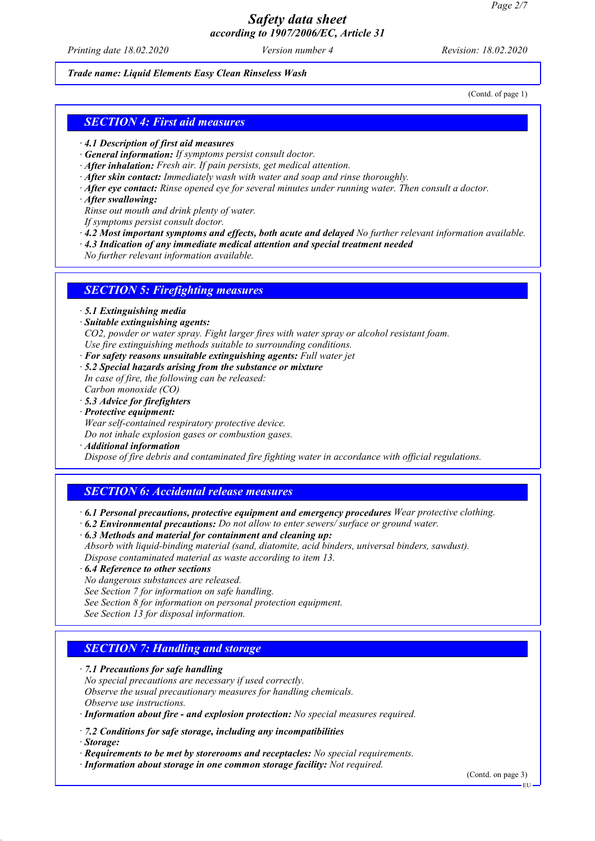*Printing date 18.02.2020 Version number 4 Revision: 18.02.2020*

#### *Trade name: Liquid Elements Easy Clean Rinseless Wash*

(Contd. of page 1)

### *SECTION 4: First aid measures*

- *· 4.1 Description of first aid measures*
- *· General information: If symptoms persist consult doctor.*
- *· After inhalation: Fresh air. If pain persists, get medical attention.*
- *· After skin contact: Immediately wash with water and soap and rinse thoroughly.*
- *· After eye contact: Rinse opened eye for several minutes under running water. Then consult a doctor.*
- *· After swallowing:*

*Rinse out mouth and drink plenty of water.*

- *If symptoms persist consult doctor.*
- *· 4.2 Most important symptoms and effects, both acute and delayed No further relevant information available.*
- *· 4.3 Indication of any immediate medical attention and special treatment needed*
- *No further relevant information available.*

### *SECTION 5: Firefighting measures*

- *· 5.1 Extinguishing media*
- *· Suitable extinguishing agents:*

*CO2, powder or water spray. Fight larger fires with water spray or alcohol resistant foam. Use fire extinguishing methods suitable to surrounding conditions.*

- *· For safety reasons unsuitable extinguishing agents: Full water jet*
- *· 5.2 Special hazards arising from the substance or mixture In case of fire, the following can be released:*
- *Carbon monoxide (CO) · 5.3 Advice for firefighters*
- *· Protective equipment:*
- *Wear self-contained respiratory protective device.*

*Do not inhale explosion gases or combustion gases.*

*· Additional information*

*Dispose of fire debris and contaminated fire fighting water in accordance with official regulations.*

# *SECTION 6: Accidental release measures*

- *· 6.1 Personal precautions, protective equipment and emergency procedures Wear protective clothing.*
- *· 6.2 Environmental precautions: Do not allow to enter sewers/ surface or ground water.*
- *· 6.3 Methods and material for containment and cleaning up: Absorb with liquid-binding material (sand, diatomite, acid binders, universal binders, sawdust). Dispose contaminated material as waste according to item 13.*
- *· 6.4 Reference to other sections*

*No dangerous substances are released.*

*See Section 7 for information on safe handling.*

*See Section 8 for information on personal protection equipment.*

*See Section 13 for disposal information.*

### *SECTION 7: Handling and storage*

#### *· 7.1 Precautions for safe handling*

*No special precautions are necessary if used correctly. Observe the usual precautionary measures for handling chemicals. Observe use instructions.*

- *· Information about fire and explosion protection: No special measures required.*
- *· 7.2 Conditions for safe storage, including any incompatibilities*

*· Storage:*

- *· Requirements to be met by storerooms and receptacles: No special requirements.*
- *· Information about storage in one common storage facility: Not required.*

(Contd. on page 3)

EU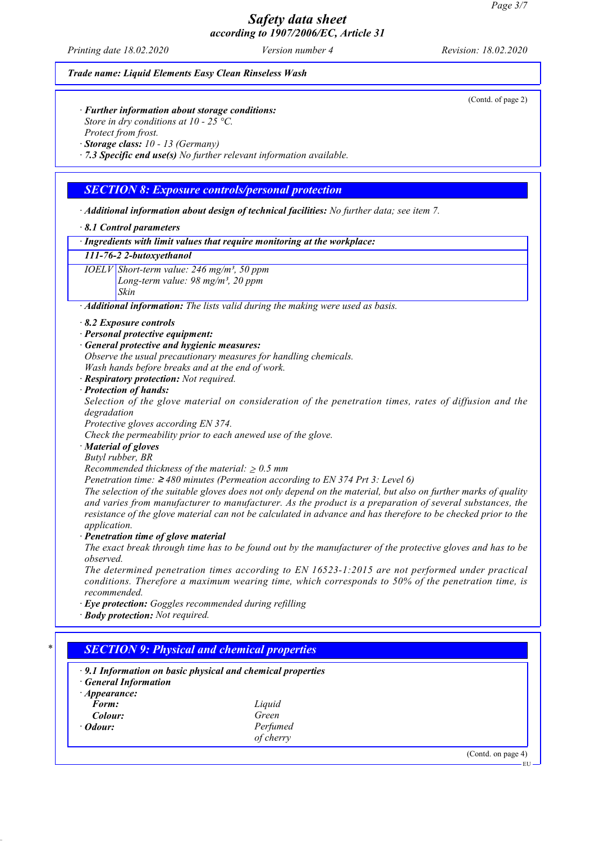*Printing date 18.02.2020 Version number 4 Revision: 18.02.2020*

#### *Trade name: Liquid Elements Easy Clean Rinseless Wash*

*· Further information about storage conditions:*

*Store in dry conditions at 10 - 25 °C.*

*Protect from frost.*

*· Storage class: 10 - 13 (Germany)*

*· 7.3 Specific end use(s) No further relevant information available.*

# *SECTION 8: Exposure controls/personal protection*

*· Additional information about design of technical facilities: No further data; see item 7.*

*· 8.1 Control parameters*

*· Ingredients with limit values that require monitoring at the workplace:*

#### *111-76-2 2-butoxyethanol*

*IOELV Short-term value: 246 mg/m³, 50 ppm Long-term value: 98 mg/m³, 20 ppm Skin*

*· Additional information: The lists valid during the making were used as basis.*

- *· 8.2 Exposure controls*
- *· Personal protective equipment:*
- *· General protective and hygienic measures:*
- *Observe the usual precautionary measures for handling chemicals. Wash hands before breaks and at the end of work.*
- *· Respiratory protection: Not required.*

#### *· Protection of hands:*

*Selection of the glove material on consideration of the penetration times, rates of diffusion and the degradation*

*Protective gloves according EN 374.*

*Check the permeability prior to each anewed use of the glove.*

*· Material of gloves*

*Butyl rubber, BR*

*Recommended thickness of the material:* ≥ *0.5 mm*

*Penetration time:* ≥ *480 minutes (Permeation according to EN 374 Prt 3: Level 6)*

*The selection of the suitable gloves does not only depend on the material, but also on further marks of quality and varies from manufacturer to manufacturer. As the product is a preparation of several substances, the resistance of the glove material can not be calculated in advance and has therefore to be checked prior to the application.*

*· Penetration time of glove material*

*The exact break through time has to be found out by the manufacturer of the protective gloves and has to be observed.*

*The determined penetration times according to EN 16523-1:2015 are not performed under practical conditions. Therefore a maximum wearing time, which corresponds to 50% of the penetration time, is recommended.*

*· Eye protection: Goggles recommended during refilling*

*· Body protection: Not required.*

# *\* SECTION 9: Physical and chemical properties*

- *· 9.1 Information on basic physical and chemical properties*
- *· General Information*
- *· Appearance: Form: Liquid Colour: Green*
- 
- *<i>Ddour: Perfumed of cherry*

(Contd. on page 4)

(Contd. of page 2)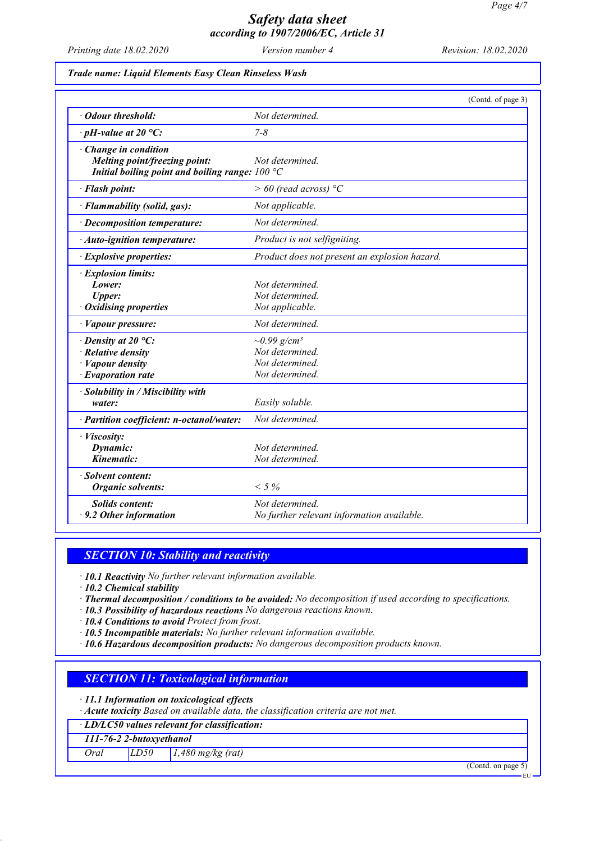*Printing date 18.02.2020 Version number 4 Revision: 18.02.2020*

#### *Trade name: Liquid Elements Easy Clean Rinseless Wash*

|                                                                                                                    | (Contd. of page 3)                                                                     |
|--------------------------------------------------------------------------------------------------------------------|----------------------------------------------------------------------------------------|
| · Odour threshold:                                                                                                 | Not determined.                                                                        |
| $\cdot$ pH-value at 20 °C:                                                                                         | $7 - 8$                                                                                |
| · Change in condition<br>Melting point/freezing point:<br>Initial boiling point and boiling range: $100 °C$        | Not determined.                                                                        |
| · Flash point:                                                                                                     | $> 60$ (read across) °C                                                                |
| · Flammability (solid, gas):                                                                                       | Not applicable.                                                                        |
| · Decomposition temperature:                                                                                       | Not determined.                                                                        |
| · Auto-ignition temperature:                                                                                       | Product is not selfigniting.                                                           |
| · Explosive properties:                                                                                            | Product does not present an explosion hazard.                                          |
| · Explosion limits:<br>Lower:<br>Upper:<br>· Oxidising properties                                                  | Not determined.<br>Not determined.<br>Not applicable.                                  |
| · Vapour pressure:                                                                                                 | Not determined.                                                                        |
| $\cdot$ Density at 20 °C:<br>$\cdot$ Relative density<br>$\cdot$ <i>Vapour density</i><br>$\cdot$ Evaporation rate | $\sim 0.99$ g/cm <sup>3</sup><br>Not determined.<br>Not determined.<br>Not determined. |
| · Solubility in / Miscibility with<br>water:<br>· Partition coefficient: n-octanol/water:                          | Easily soluble.<br>Not determined.                                                     |
| · Viscosity:<br>Dynamic:<br>Kinematic:                                                                             | Not determined.<br>Not determined.                                                     |
| · Solvent content:<br>Organic solvents:                                                                            | $< 5\%$                                                                                |
| <b>Solids content:</b><br>$\cdot$ 9.2 Other information                                                            | Not determined.<br>No further relevant information available.                          |

### *SECTION 10: Stability and reactivity*

*· 10.1 Reactivity No further relevant information available.*

*· 10.2 Chemical stability*

- *· Thermal decomposition / conditions to be avoided: No decomposition if used according to specifications.*
- *· 10.3 Possibility of hazardous reactions No dangerous reactions known.*
- *· 10.4 Conditions to avoid Protect from frost.*
- *· 10.5 Incompatible materials: No further relevant information available.*

*· 10.6 Hazardous decomposition products: No dangerous decomposition products known.*

# *SECTION 11: Toxicological information*

*· 11.1 Information on toxicological effects*

*· Acute toxicity Based on available data, the classification criteria are not met.*

*· LD/LC50 values relevant for classification:*

### *111-76-2 2-butoxyethanol*

*Oral LD50 1,480 mg/kg (rat)*

(Contd. on page 5)

EU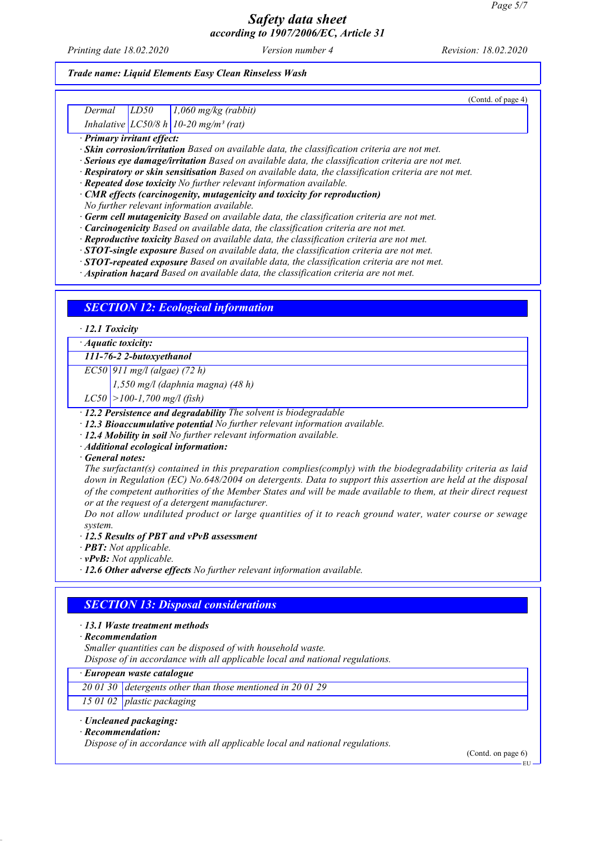*Printing date 18.02.2020 Version number 4 Revision: 18.02.2020*

# *Trade name: Liquid Elements Easy Clean Rinseless Wash*

| (Contd. of page 4)                                                                                                                                                                                                                                                                                                                                                                                                                                                                                                                                                                                                                                                                                                                                                                                                                                                                                                                                                                                                                                                                                                     |  |
|------------------------------------------------------------------------------------------------------------------------------------------------------------------------------------------------------------------------------------------------------------------------------------------------------------------------------------------------------------------------------------------------------------------------------------------------------------------------------------------------------------------------------------------------------------------------------------------------------------------------------------------------------------------------------------------------------------------------------------------------------------------------------------------------------------------------------------------------------------------------------------------------------------------------------------------------------------------------------------------------------------------------------------------------------------------------------------------------------------------------|--|
| Dermal<br>LD50<br>$1,060$ mg/kg (rabbit)                                                                                                                                                                                                                                                                                                                                                                                                                                                                                                                                                                                                                                                                                                                                                                                                                                                                                                                                                                                                                                                                               |  |
| Inhalative $LC50/8 h$ 10-20 mg/m <sup>3</sup> (rat)                                                                                                                                                                                                                                                                                                                                                                                                                                                                                                                                                                                                                                                                                                                                                                                                                                                                                                                                                                                                                                                                    |  |
| · Primary irritant effect:<br>· Skin corrosion/irritation Based on available data, the classification criteria are not met.<br>· Serious eye damage/irritation Based on available data, the classification criteria are not met.<br>· Respiratory or skin sensitisation Based on available data, the classification criteria are not met.<br>· Repeated dose toxicity No further relevant information available.<br>· CMR effects (carcinogenity, mutagenicity and toxicity for reproduction)<br>No further relevant information available.<br>· Germ cell mutagenicity Based on available data, the classification criteria are not met.<br>· Carcinogenicity Based on available data, the classification criteria are not met.<br>· Reproductive toxicity Based on available data, the classification criteria are not met.<br>· STOT-single exposure Based on available data, the classification criteria are not met.<br>$\cdot$ STOT-repeated exposure Based on available data, the classification criteria are not met.<br>· Aspiration hazard Based on available data, the classification criteria are not met. |  |
| <b>SECTION 12: Ecological information</b>                                                                                                                                                                                                                                                                                                                                                                                                                                                                                                                                                                                                                                                                                                                                                                                                                                                                                                                                                                                                                                                                              |  |
| $\cdot$ 12.1 Toxicity                                                                                                                                                                                                                                                                                                                                                                                                                                                                                                                                                                                                                                                                                                                                                                                                                                                                                                                                                                                                                                                                                                  |  |
| · Aquatic toxicity:                                                                                                                                                                                                                                                                                                                                                                                                                                                                                                                                                                                                                                                                                                                                                                                                                                                                                                                                                                                                                                                                                                    |  |
| 111-76-2 2-butoxyethanol                                                                                                                                                                                                                                                                                                                                                                                                                                                                                                                                                                                                                                                                                                                                                                                                                                                                                                                                                                                                                                                                                               |  |
| $EC50$ 911 mg/l (algae) (72 h)                                                                                                                                                                                                                                                                                                                                                                                                                                                                                                                                                                                                                                                                                                                                                                                                                                                                                                                                                                                                                                                                                         |  |
| $1,550$ mg/l (daphnia magna) (48 h)                                                                                                                                                                                                                                                                                                                                                                                                                                                                                                                                                                                                                                                                                                                                                                                                                                                                                                                                                                                                                                                                                    |  |
| $LC50$ > 100-1,700 mg/l (fish)                                                                                                                                                                                                                                                                                                                                                                                                                                                                                                                                                                                                                                                                                                                                                                                                                                                                                                                                                                                                                                                                                         |  |
| · 12.2 Persistence and degradability The solvent is biodegradable<br>· 12.3 Bioaccumulative potential No further relevant information available.<br>· 12.4 Mobility in soil No further relevant information available.<br>· Additional ecological information:<br>$\cdot$ General notes:<br>The surfactant(s) contained in this preparation complies(comply) with the biodegradability criteria as laid<br>down in Regulation (EC) No.648/2004 on detergents. Data to support this assertion are held at the disposal<br>of the competent authorities of the Member States and will be made available to them, at their direct request<br>or at the request of a detergent manufacturer.<br>Do not allow undiluted product or large quantities of it to reach ground water, water course or sewage<br>system.<br>12.5 Results of PBT and vPvB assessment<br>$\cdot$ <b>PBT:</b> Not applicable.<br>$\cdot$ vPvB: Not applicable.<br>· 12.6 Other adverse effects No further relevant information available.                                                                                                            |  |
| <b>SECTION 13: Disposal considerations</b><br>$\cdot$ 13.1 Waste treatment methods<br>$\cdot$ Recommendation<br>Smaller quantities can be disposed of with household waste.                                                                                                                                                                                                                                                                                                                                                                                                                                                                                                                                                                                                                                                                                                                                                                                                                                                                                                                                            |  |
| Dispose of in accordance with all applicable local and national regulations.                                                                                                                                                                                                                                                                                                                                                                                                                                                                                                                                                                                                                                                                                                                                                                                                                                                                                                                                                                                                                                           |  |
| · European waste catalogue                                                                                                                                                                                                                                                                                                                                                                                                                                                                                                                                                                                                                                                                                                                                                                                                                                                                                                                                                                                                                                                                                             |  |
| 20 01 30 detergents other than those mentioned in 20 01 29                                                                                                                                                                                                                                                                                                                                                                                                                                                                                                                                                                                                                                                                                                                                                                                                                                                                                                                                                                                                                                                             |  |
| 15 01 02<br>plastic packaging                                                                                                                                                                                                                                                                                                                                                                                                                                                                                                                                                                                                                                                                                                                                                                                                                                                                                                                                                                                                                                                                                          |  |
| · Uncleaned packaging:<br>$\cdot$ Recommendation:<br>Dispose of in accordance with all applicable local and national regulations.                                                                                                                                                                                                                                                                                                                                                                                                                                                                                                                                                                                                                                                                                                                                                                                                                                                                                                                                                                                      |  |

(Contd. on page 6)  $-EU$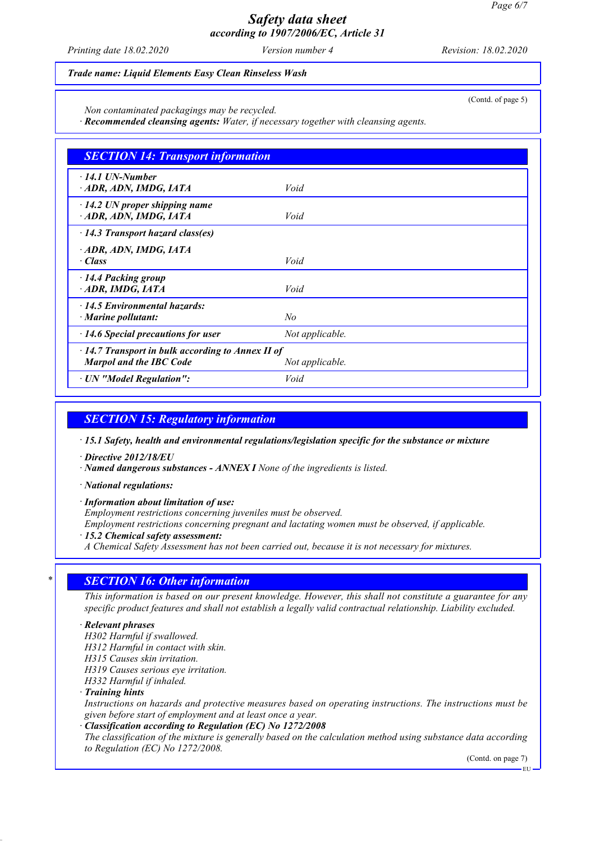*Printing date 18.02.2020 Version number 4 Revision: 18.02.2020*

(Contd. of page 5)

#### *Trade name: Liquid Elements Easy Clean Rinseless Wash*

*Non contaminated packagings may be recycled.*

*· Recommended cleansing agents: Water, if necessary together with cleansing agents.*

| <b>SECTION 14: Transport information</b>                                                  |                 |
|-------------------------------------------------------------------------------------------|-----------------|
| $\cdot$ 14.1 UN-Number<br>ADR, ADN, IMDG, IATA                                            | Void            |
| $\cdot$ 14.2 UN proper shipping name<br>ADR, ADN, IMDG, IATA                              | Void            |
| $\cdot$ 14.3 Transport hazard class(es)                                                   |                 |
| · ADR, ADN, IMDG, IATA<br>· Class                                                         | Void            |
| 14.4 Packing group<br>· ADR, IMDG, IATA                                                   | Void            |
| $\cdot$ 14.5 Environmental hazards:<br>$\cdot$ Marine pollutant:                          | N <sub>o</sub>  |
| $\cdot$ 14.6 Special precautions for user                                                 | Not applicable. |
| $\cdot$ 14.7 Transport in bulk according to Annex II of<br><b>Marpol and the IBC Code</b> | Not applicable. |
| · UN "Model Regulation":                                                                  | Void            |

### *SECTION 15: Regulatory information*

*· 15.1 Safety, health and environmental regulations/legislation specific for the substance or mixture*

*· Directive 2012/18/EU*

*· Named dangerous substances - ANNEX I None of the ingredients is listed.*

*· National regulations:*

*· Information about limitation of use:*

*Employment restrictions concerning juveniles must be observed.*

*Employment restrictions concerning pregnant and lactating women must be observed, if applicable.*

*· 15.2 Chemical safety assessment:*

*A Chemical Safety Assessment has not been carried out, because it is not necessary for mixtures.*

# *\* SECTION 16: Other information*

*This information is based on our present knowledge. However, this shall not constitute a guarantee for any specific product features and shall not establish a legally valid contractual relationship. Liability excluded.*

### *· Relevant phrases*

*H302 Harmful if swallowed. H312 Harmful in contact with skin.*

*H315 Causes skin irritation.*

*H319 Causes serious eye irritation.*

*H332 Harmful if inhaled.*

*· Training hints*

*Instructions on hazards and protective measures based on operating instructions. The instructions must be given before start of employment and at least once a year.*

*· Classification according to Regulation (EC) No 1272/2008*

*The classification of the mixture is generally based on the calculation method using substance data according to Regulation (EC) No 1272/2008.*

(Contd. on page 7)